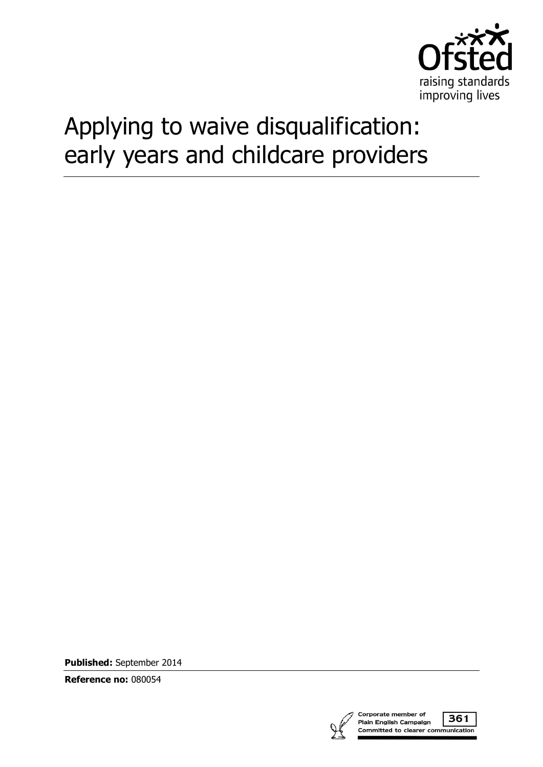

# Applying to waive disqualification: early years and childcare providers

**Published:** September 2014

**Reference no:** 080054



Corporate member of 361 Plain English Campaign Committed to clearer communication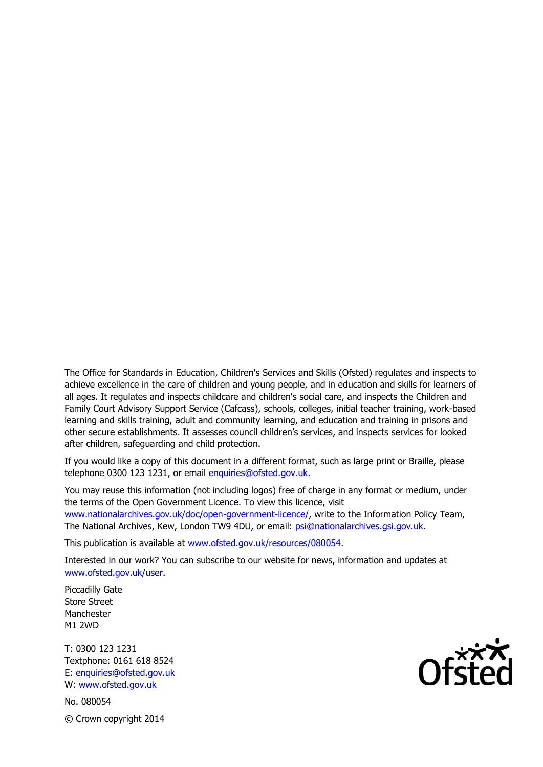The Office for Standards in Education, Children's Services and Skills (Ofsted) regulates and inspects to achieve excellence in the care of children and young people, and in education and skills for learners of all ages. It regulates and inspects childcare and children's social care, and inspects the Children and Family Court Advisory Support Service (Cafcass), schools, colleges, initial teacher training, work-based learning and skills training, adult and community learning, and education and training in prisons and other secure establishments. It assesses council children's services, and inspects services for looked after children, safeguarding and child protection.

If you would like a copy of this document in a different format, such as large print or Braille, please telephone 0300 123 1231, or email enquiries@ofsted.gov.uk.

You may reuse this information (not including logos) free of charge in any format or medium, under the terms of the Open Government Licence. To view this licence, visit www.nationalarchives.gov.uk/doc/open-government-licence/, write to the Information Policy Team, The National Archives, Kew, London TW9 4DU, or email: psi@nationalarchives.gsi.gov.uk.

This publication is available at www.ofsted.gov.uk/resources/080054.

Interested in our work? You can subscribe to our website for news, information and updates at www.ofsted.gov.uk/user.

Piccadilly Gate Store Street Manchester M1 2WD

T: 0300 123 1231 Textphone: 0161 618 8524 E: enquiries@ofsted.gov.uk W: www.ofsted.gov.uk

No. 080054 © Crown copyright 2014

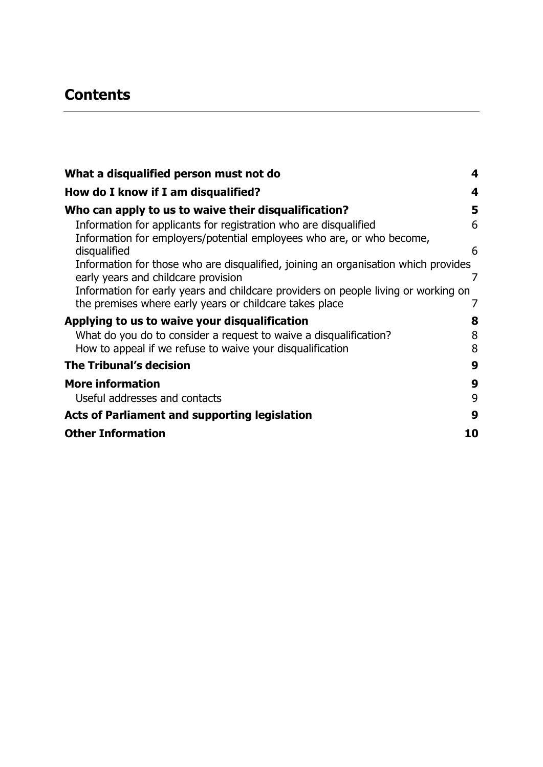# **Contents**

| What a disqualified person must not do                                                                                                        | 4              |
|-----------------------------------------------------------------------------------------------------------------------------------------------|----------------|
| How do I know if I am disqualified?                                                                                                           | 4              |
| Who can apply to us to waive their disqualification?                                                                                          | 5              |
| Information for applicants for registration who are disqualified<br>Information for employers/potential employees who are, or who become,     | 6              |
| disqualified<br>Information for those who are disqualified, joining an organisation which provides                                            | 6              |
| early years and childcare provision                                                                                                           | $\overline{7}$ |
| Information for early years and childcare providers on people living or working on<br>the premises where early years or childcare takes place |                |
| Applying to us to waive your disqualification                                                                                                 | 8              |
| What do you do to consider a request to waive a disqualification?<br>How to appeal if we refuse to waive your disqualification                | 8<br>8         |
| <b>The Tribunal's decision</b>                                                                                                                | 9              |
| <b>More information</b>                                                                                                                       | 9              |
| Useful addresses and contacts                                                                                                                 | 9              |
| <b>Acts of Parliament and supporting legislation</b>                                                                                          | 9              |
| <b>Other Information</b>                                                                                                                      | 10             |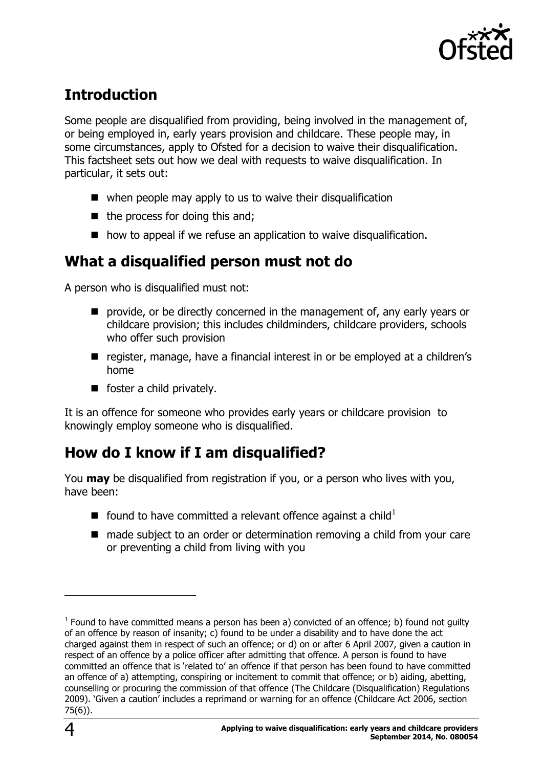

# **Introduction**

Some people are disqualified from providing, being involved in the management of, or being employed in, early years provision and childcare. These people may, in some circumstances, apply to Ofsted for a decision to waive their disqualification. This factsheet sets out how we deal with requests to waive disqualification. In particular, it sets out:

- $\blacksquare$  when people may apply to us to waive their disqualification
- $\blacksquare$  the process for doing this and;
- $\blacksquare$  how to appeal if we refuse an application to waive disqualification.

### <span id="page-3-0"></span>**What a disqualified person must not do**

A person who is disqualified must not:

- **P** provide, or be directly concerned in the management of, any early years or childcare provision; this includes childminders, childcare providers, schools who offer such provision
- register, manage, have a financial interest in or be employed at a children's home
- $\blacksquare$  foster a child privately.

It is an offence for someone who provides early years or childcare provision to knowingly employ someone who is disqualified.

## <span id="page-3-1"></span>**How do I know if I am disqualified?**

You **may** be disqualified from registration if you, or a person who lives with you, have been:

- Found to have committed a relevant offence against a child<sup>1</sup>
- made subject to an order or determination removing a child from your care or preventing a child from living with you

 $\overline{a}$ 

 $<sup>1</sup>$  Found to have committed means a person has been a) convicted of an offence; b) found not guilty</sup> of an offence by reason of insanity; c) found to be under a disability and to have done the act charged against them in respect of such an offence; or d) on or after 6 April 2007, given a caution in respect of an offence by a police officer after admitting that offence. A person is found to have committed an offence that is 'related to' an offence if that person has been found to have committed an offence of a) attempting, conspiring or incitement to commit that offence; or b) aiding, abetting, counselling or procuring the commission of that offence (The Childcare (Disqualification) Regulations 2009). 'Given a caution' includes a reprimand or warning for an offence (Childcare Act 2006, section 75(6)).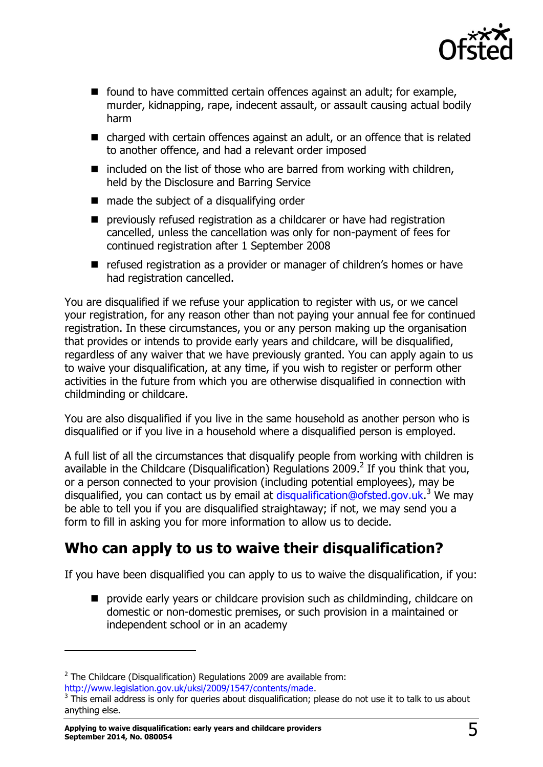

- $\blacksquare$  found to have committed certain offences against an adult; for example, murder, kidnapping, rape, indecent assault, or assault causing actual bodily harm
- charged with certain offences against an adult, or an offence that is related to another offence, and had a relevant order imposed
- $\blacksquare$  included on the list of those who are barred from working with children, held by the Disclosure and Barring Service
- $\blacksquare$  made the subject of a disqualifying order
- previously refused registration as a childcarer or have had registration cancelled, unless the cancellation was only for non-payment of fees for continued registration after 1 September 2008
- refused registration as a provider or manager of children's homes or have had registration cancelled.

You are disqualified if we refuse your application to register with us, or we cancel your registration, for any reason other than not paying your annual fee for continued registration. In these circumstances, you or any person making up the organisation that provides or intends to provide early years and childcare, will be disqualified, regardless of any waiver that we have previously granted. You can apply again to us to waive your disqualification, at any time, if you wish to register or perform other activities in the future from which you are otherwise disqualified in connection with childminding or childcare.

You are also disqualified if you live in the same household as another person who is disqualified or if you live in a household where a disqualified person is employed.

A full list of all the circumstances that disqualify people from working with children is available in the Childcare (Disqualification) Regulations 2009.<sup>2</sup> If you think that you, or a person connected to your provision (including potential employees), may be disqualified, you can contact us by email at [disqualification@ofsted.gov.uk.](mailto:disqualification@ofsted.gov.uk)<sup>3</sup> We may be able to tell you if you are disqualified straightaway; if not, we may send you a form to fill in asking you for more information to allow us to decide.

## <span id="page-4-0"></span>**Who can apply to us to waive their disqualification?**

If you have been disqualified you can apply to us to waive the disqualification, if you:

**P** provide early years or childcare provision such as childminding, childcare on domestic or non-domestic premises, or such provision in a maintained or independent school or in an academy

[http://www.legislation.gov.uk/uksi/2009/1547/contents/made.](http://www.legislation.gov.uk/uksi/2009/1547/contents/made)

-

 $2$  The Childcare (Disqualification) Regulations 2009 are available from:

 $3$  This email address is only for queries about disqualification; please do not use it to talk to us about anything else.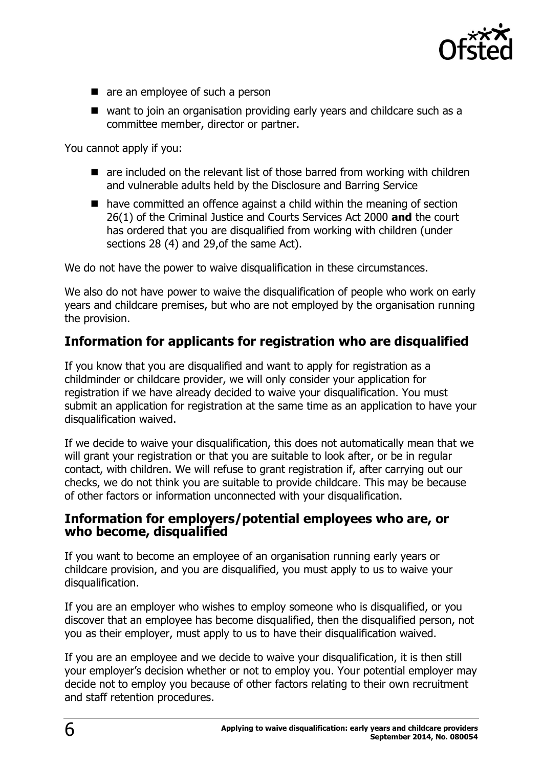

- are an employee of such a person
- want to join an organisation providing early years and childcare such as a committee member, director or partner.

You cannot apply if you:

- are included on the relevant list of those barred from working with children and vulnerable adults held by the Disclosure and Barring Service
- have committed an offence against a child within the meaning of section 26(1) of the Criminal Justice and Courts Services Act 2000 **and** the court has ordered that you are disqualified from working with children (under sections 28 (4) and 29,of the same Act).

We do not have the power to waive disqualification in these circumstances.

We also do not have power to waive the disqualification of people who work on early years and childcare premises, but who are not employed by the organisation running the provision.

### <span id="page-5-0"></span>**Information for applicants for registration who are disqualified**

If you know that you are disqualified and want to apply for registration as a childminder or childcare provider, we will only consider your application for registration if we have already decided to waive your disqualification. You must submit an application for registration at the same time as an application to have your disqualification waived.

If we decide to waive your disqualification, this does not automatically mean that we will grant your registration or that you are suitable to look after, or be in regular contact, with children. We will refuse to grant registration if, after carrying out our checks, we do not think you are suitable to provide childcare. This may be because of other factors or information unconnected with your disqualification.

#### <span id="page-5-1"></span>**Information for employers/potential employees who are, or who become, disqualified**

If you want to become an employee of an organisation running early years or childcare provision, and you are disqualified, you must apply to us to waive your disqualification.

If you are an employer who wishes to employ someone who is disqualified, or you discover that an employee has become disqualified, then the disqualified person, not you as their employer, must apply to us to have their disqualification waived.

If you are an employee and we decide to waive your disqualification, it is then still your employer's decision whether or not to employ you. Your potential employer may decide not to employ you because of other factors relating to their own recruitment and staff retention procedures.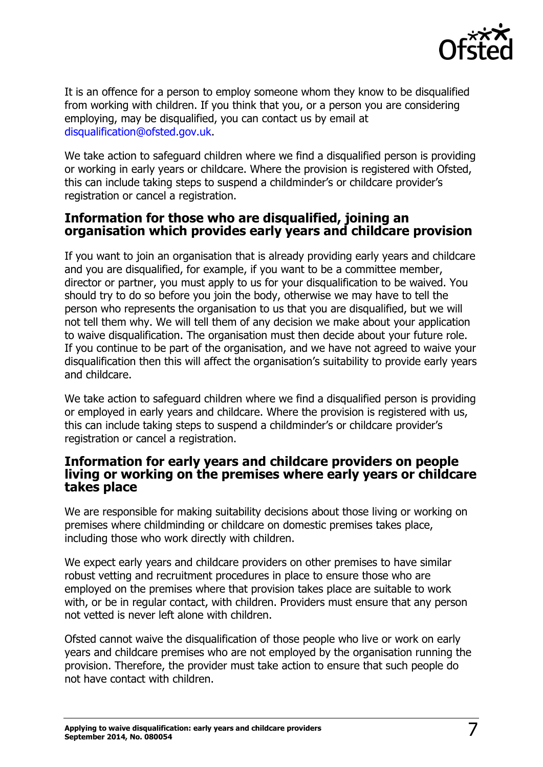

It is an offence for a person to employ someone whom they know to be disqualified from working with children. If you think that you, or a person you are considering employing, may be disqualified, you can contact us by email at [disqualification@ofsted.gov.uk.](mailto:disqualification@ofsted.gov.uk)

We take action to safeguard children where we find a disqualified person is providing or working in early years or childcare. Where the provision is registered with Ofsted, this can include taking steps to suspend a childminder's or childcare provider's registration or cancel a registration.

### <span id="page-6-0"></span>**Information for those who are disqualified, joining an organisation which provides early years and childcare provision**

If you want to join an organisation that is already providing early years and childcare and you are disqualified, for example, if you want to be a committee member, director or partner, you must apply to us for your disqualification to be waived. You should try to do so before you join the body, otherwise we may have to tell the person who represents the organisation to us that you are disqualified, but we will not tell them why. We will tell them of any decision we make about your application to waive disqualification. The organisation must then decide about your future role. If you continue to be part of the organisation, and we have not agreed to waive your disqualification then this will affect the organisation's suitability to provide early years and childcare.

We take action to safeguard children where we find a disqualified person is providing or employed in early years and childcare. Where the provision is registered with us, this can include taking steps to suspend a childminder's or childcare provider's registration or cancel a registration.

#### <span id="page-6-1"></span>**Information for early years and childcare providers on people living or working on the premises where early years or childcare takes place**

We are responsible for making suitability decisions about those living or working on premises where childminding or childcare on domestic premises takes place, including those who work directly with children.

We expect early years and childcare providers on other premises to have similar robust vetting and recruitment procedures in place to ensure those who are employed on the premises where that provision takes place are suitable to work with, or be in regular contact, with children. Providers must ensure that any person not vetted is never left alone with children.

Ofsted cannot waive the disqualification of those people who live or work on early years and childcare premises who are not employed by the organisation running the provision. Therefore, the provider must take action to ensure that such people do not have contact with children.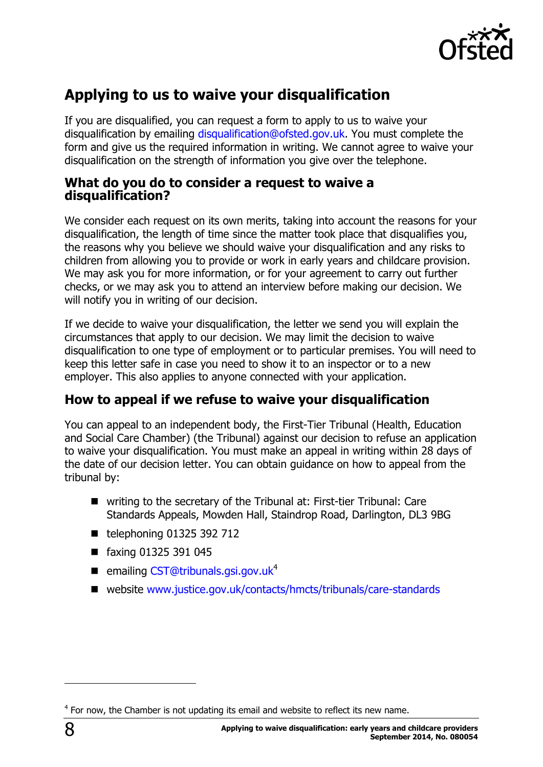

## <span id="page-7-0"></span>**Applying to us to waive your disqualification**

If you are disqualified, you can request a form to apply to us to waive your disqualification by emailing [disqualification@ofsted.gov.uk.](mailto:disqualification@ofsted.gov.uk) You must complete the form and give us the required information in writing. We cannot agree to waive your disqualification on the strength of information you give over the telephone.

#### <span id="page-7-1"></span>**What do you do to consider a request to waive a disqualification?**

We consider each request on its own merits, taking into account the reasons for your disqualification, the length of time since the matter took place that disqualifies you, the reasons why you believe we should waive your disqualification and any risks to children from allowing you to provide or work in early years and childcare provision. We may ask you for more information, or for your agreement to carry out further checks, or we may ask you to attend an interview before making our decision. We will notify you in writing of our decision.

If we decide to waive your disqualification, the letter we send you will explain the circumstances that apply to our decision. We may limit the decision to waive disqualification to one type of employment or to particular premises. You will need to keep this letter safe in case you need to show it to an inspector or to a new employer. This also applies to anyone connected with your application.

### <span id="page-7-2"></span>**How to appeal if we refuse to waive your disqualification**

You can appeal to an independent body, the First-Tier Tribunal (Health, Education and Social Care Chamber) (the Tribunal) against our decision to refuse an application to waive your disqualification. You must make an appeal in writing within 28 days of the date of our decision letter. You can obtain guidance on how to appeal from the tribunal by:

- writing to the secretary of the Tribunal at: First-tier Tribunal: Care Standards Appeals, Mowden Hall, Staindrop Road, Darlington, DL3 9BG
- $\blacksquare$  telephoning 01325 392 712
- faxing 01325 391 045
- $\blacksquare$  emailing [CST@tribunals.gsi.gov.uk](mailto:CST@tribunals.gsi.gov.uk)<sup>4</sup>
- website [www.justice.gov.uk/contacts/hmcts/tribunals/care-standards](http://www.justice.gov.uk/contacts/hmcts/tribunals/care-standards)

j

 $4$  For now, the Chamber is not updating its email and website to reflect its new name.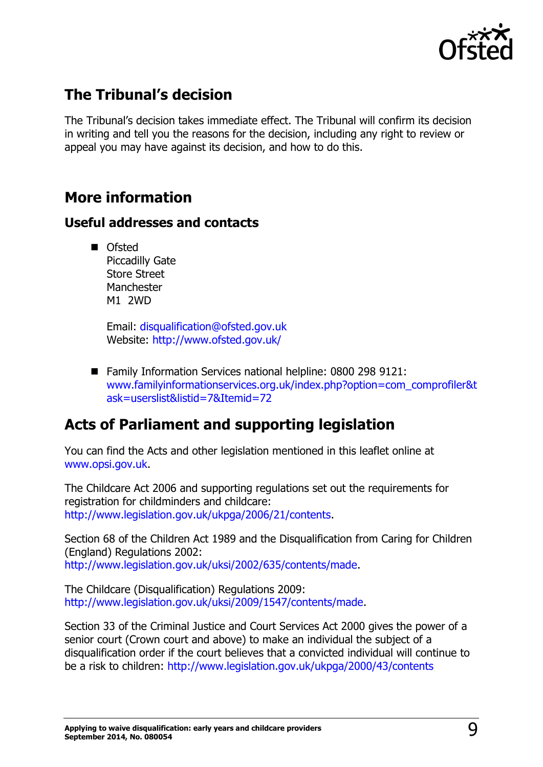

### <span id="page-8-0"></span>**The Tribunal's decision**

The Tribunal's decision takes immediate effect. The Tribunal will confirm its decision in writing and tell you the reasons for the decision, including any right to review or appeal you may have against its decision, and how to do this.

### <span id="page-8-1"></span>**More information**

### <span id="page-8-2"></span>**Useful addresses and contacts**

**Ofsted** Piccadilly Gate Store Street **Manchester** M1 2WD

> Email: [disqualification@ofsted.gov.uk](mailto:disqualification@ofsted.gov.uk)  Website:<http://www.ofsted.gov.uk/>

■ Family Information Services national helpline: 0800 298 9121: [www.familyinformationservices.org.uk/index.php?option=com\\_comprofiler&t](http://www.familyinformationservices.org.uk/index.php?option=com_comprofiler&task=userslist&listid=7&Itemid=72) [ask=userslist&listid=7&Itemid=72](http://www.familyinformationservices.org.uk/index.php?option=com_comprofiler&task=userslist&listid=7&Itemid=72)

### <span id="page-8-3"></span>**Acts of Parliament and supporting legislation**

You can find the Acts and other legislation mentioned in this leaflet online at [www.opsi.gov.uk.](http://www.opsi.gov.uk/)

The Childcare Act 2006 and supporting regulations set out the requirements for registration for childminders and childcare: [http://www.legislation.gov.uk/ukpga/2006/21/contents.](http://www.legislation.gov.uk/ukpga/2006/21/contents)

Section 68 of the Children Act 1989 and the Disqualification from Caring for Children (England) Regulations 2002: [http://www.legislation.gov.uk/uksi/2002/635/contents/made.](http://www.legislation.gov.uk/uksi/2002/635/contents/made)

The Childcare (Disqualification) Regulations 2009: [http://www.legislation.gov.uk/uksi/2009/1547/contents/made.](http://www.legislation.gov.uk/uksi/2009/1547/contents/made)

Section 33 of the Criminal Justice and Court Services Act 2000 gives the power of a senior court (Crown court and above) to make an individual the subject of a disqualification order if the court believes that a convicted individual will continue to be a risk to children:<http://www.legislation.gov.uk/ukpga/2000/43/contents>